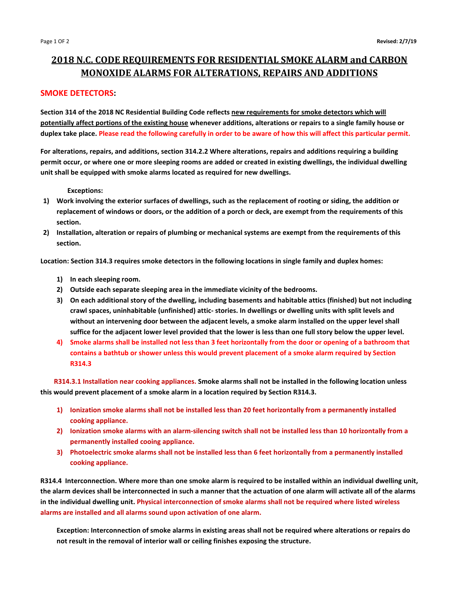# **2018 N.C. CODE REQUIREMENTS FOR RESIDENTIAL SMOKE ALARM and CARBON MONOXIDE ALARMS FOR ALTERATIONS, REPAIRS AND ADDITIONS**

## **SMOKE DETECTORS:**

**Section 314 of the 2018 NC Residential Building Code reflects new requirements for smoke detectors which will potentially affect portions of the existing house whenever additions, alterations or repairs to a single family house or duplex take place. Please read the following carefully in order to be aware of how this will affect this particular permit.**

**For alterations, repairs, and additions, section 314.2.2 Where alterations, repairs and additions requiring a building permit occur, or where one or more sleeping rooms are added or created in existing dwellings, the individual dwelling unit shall be equipped with smoke alarms located as required for new dwellings.** 

### **Exceptions:**

- **1) Work involving the exterior surfaces of dwellings, such as the replacement of rooting or siding, the addition or replacement of windows or doors, or the addition of a porch or deck, are exempt from the requirements of this section.**
- **2) Installation, alteration or repairs of plumbing or mechanical systems are exempt from the requirements of this section.**

**Location: Section 314.3 requires smoke detectors in the following locations in single family and duplex homes:**

- **1) In each sleeping room.**
- **2) Outside each separate sleeping area in the immediate vicinity of the bedrooms.**
- **3) On each additional story of the dwelling, including basements and habitable attics (finished) but not including crawl spaces, uninhabitable (unfinished) attic- stories. In dwellings or dwelling units with split levels and without an intervening door between the adjacent levels, a smoke alarm installed on the upper level shall suffice for the adjacent lower level provided that the lower is less than one full story below the upper level.**
- **4) Smoke alarms shall be installed not less than 3 feet horizontally from the door or opening of a bathroom that contains a bathtub or shower unless this would prevent placement of a smoke alarm required by Section R314.3**

**R314.3.1 Installation near cooking appliances. Smoke alarms shall not be installed in the following location unless this would prevent placement of a smoke alarm in a location required by Section R314.3.**

- **1) Ionization smoke alarms shall not be installed less than 20 feet horizontally from a permanently installed cooking appliance.**
- **2) Ionization smoke alarms with an alarm-silencing switch shall not be installed less than 10 horizontally from a permanently installed cooing appliance.**
- **3) Photoelectric smoke alarms shall not be installed less than 6 feet horizontally from a permanently installed cooking appliance.**

**R314.4 Interconnection. Where more than one smoke alarm is required to be installed within an individual dwelling unit, the alarm devices shall be interconnected in such a manner that the actuation of one alarm will activate all of the alarms in the individual dwelling unit. Physical interconnection of smoke alarms shall not be required where listed wireless alarms are installed and all alarms sound upon activation of one alarm.**

**Exception: Interconnection of smoke alarms in existing areas shall not be required where alterations or repairs do not result in the removal of interior wall or ceiling finishes exposing the structure.**